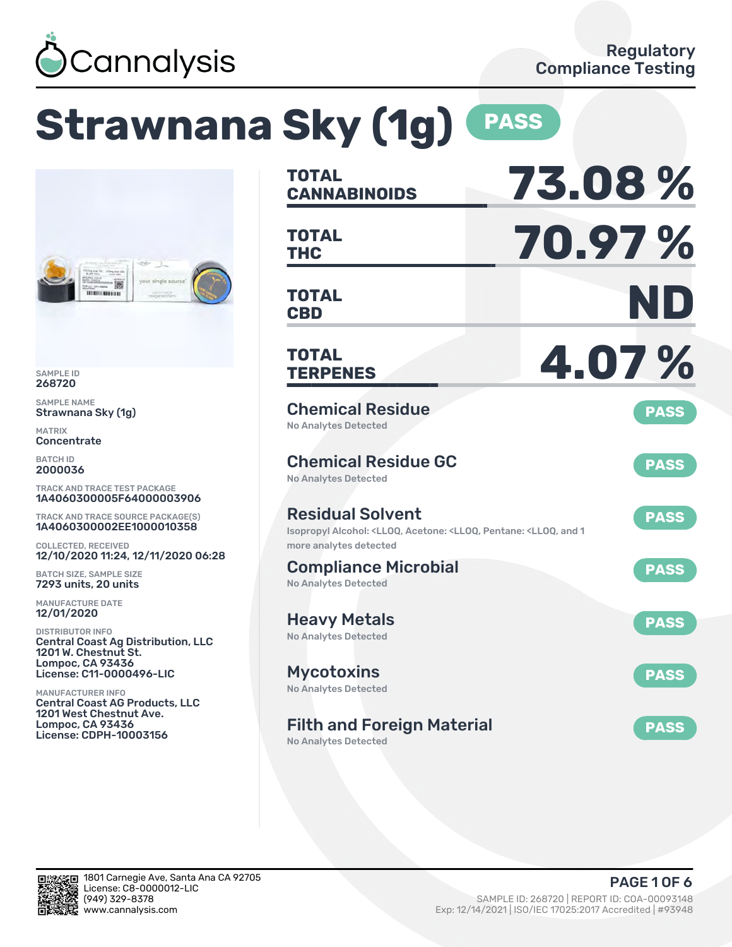

# **Strawnana Sky (1g) PASS**



SAMPLE ID 268720

SAMPLE NAME Strawnana Sky (1g)

MATRIX **Concentrate** 

BATCH ID 2000036

TRACK AND TRACE TEST PACKAGE 1A4060300005F64000003906

TRACK AND TRACE SOURCE PACKAGE(S) 1A4060300002EE1000010358

COLLECTED, RECEIVED 12/10/2020 11:24, 12/11/2020 06:28

BATCH SIZE, SAMPLE SIZE 7293 units, 20 units

MANUFACTURE DATE 12/01/2020

DISTRIBUTOR INFO Central Coast Ag Distribution, LLC 1201 W. Chestnut St. Lompoc, CA 93436 License: C11-0000496-LIC

MANUFACTURER INFO Central Coast AG Products, LLC 1201 West Chestnut Ave. Lompoc, CA 93436 License: CDPH-10003156

| <b>TOTAL</b><br><b>CANNABINOIDS</b>                                                                                                  | 73.08%      |
|--------------------------------------------------------------------------------------------------------------------------------------|-------------|
| <b>TOTAL</b><br><b>THC</b>                                                                                                           | 70.97%      |
| <b>TOTAL</b><br><b>CBD</b>                                                                                                           | ND          |
| <b>TOTAL</b><br><b>TERPENES</b>                                                                                                      | 4.07%       |
| <b>Chemical Residue</b><br><b>No Analytes Detected</b>                                                                               | <b>PASS</b> |
| <b>Chemical Residue GC</b><br><b>No Analytes Detected</b>                                                                            | <b>PASS</b> |
| <b>Residual Solvent</b><br>Isopropyl Alcohol: <lloq, 1<br="" <lloq,="" acetone:="" and="" pentane:="">more analytes detected</lloq,> | <b>PASS</b> |
| <b>Compliance Microbial</b><br><b>No Analytes Detected</b>                                                                           | <b>PASS</b> |
| <b>Heavy Metals</b><br><b>No Analytes Detected</b>                                                                                   | <b>PASS</b> |
| <b>Mycotoxins</b><br>No Analytes Detected                                                                                            | <b>PASS</b> |
| <b>Filth and Foreign Material</b><br>No Analytes Detected                                                                            | <b>PASS</b> |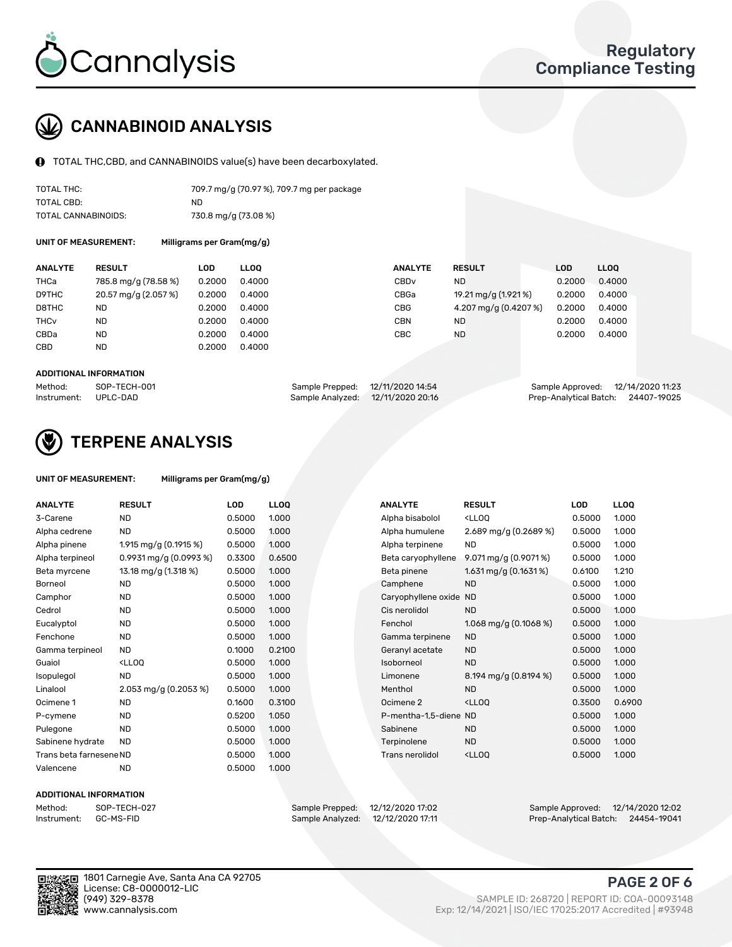

## CANNABINOID ANALYSIS

TOTAL THC,CBD, and CANNABINOIDS value(s) have been decarboxylated.

| TOTAL THC:          | 709.7 mg/g (70.97 %), 709.7 mg per package |
|---------------------|--------------------------------------------|
| TOTAL CBD:          | ND.                                        |
| TOTAL CANNABINOIDS: | 730.8 mg/g (73.08 %)                       |

UNIT OF MEASUREMENT: Milligrams per Gram(mg/g)

| <b>ANALYTE</b>         | <b>RESULT</b>        | LOD    | <b>LLOO</b> | <b>ANALYTE</b>   | <b>RESULT</b>         | <b>LOD</b> | LL <sub>00</sub> |
|------------------------|----------------------|--------|-------------|------------------|-----------------------|------------|------------------|
| THCa                   | 785.8 mg/g (78.58 %) | 0.2000 | 0.4000      | CBD <sub>v</sub> | <b>ND</b>             | 0.2000     | 0.4000           |
| D9THC                  | 20.57 mg/g (2.057 %) | 0.2000 | 0.4000      | CBGa             | 19.21 mg/g (1.921 %)  | 0.2000     | 0.4000           |
| D8THC                  | ND                   | 0.2000 | 0.4000      | <b>CBG</b>       | 4.207 mg/g (0.4207 %) | 0.2000     | 0.4000           |
| <b>THC<sub>v</sub></b> | <b>ND</b>            | 0.2000 | 0.4000      | <b>CBN</b>       | <b>ND</b>             | 0.2000     | 0.4000           |
| CBDa                   | <b>ND</b>            | 0.2000 | 0.4000      | CBC              | <b>ND</b>             | 0.2000     | 0.4000           |
| <b>CBD</b>             | <b>ND</b>            | 0.2000 | 0.4000      |                  |                       |            |                  |
|                        |                      |        |             |                  |                       |            |                  |

#### ADDITIONAL INFORMATION

| Method:              | SOP-TECH-001 | Sample Prepped: 12/11/2020 14:54  | Sample Approved: 12/14/2020 11:23  |  |
|----------------------|--------------|-----------------------------------|------------------------------------|--|
| Instrument: UPLC-DAD |              | Sample Analyzed: 12/11/2020 20:16 | Prep-Analytical Batch: 24407-19025 |  |



### TERPENE ANALYSIS

| UNIT OF MEASUREMENT: | Milligrams per Gram(mg/g) |
|----------------------|---------------------------|
|                      |                           |

| <b>ANALYTE</b>          | <b>RESULT</b>                                                                                                        | <b>LOD</b> | <b>LLOQ</b> | <b>ANALYTE</b>         | <b>RESULT</b>                                       | <b>LOD</b> | <b>LLOQ</b> |
|-------------------------|----------------------------------------------------------------------------------------------------------------------|------------|-------------|------------------------|-----------------------------------------------------|------------|-------------|
|                         | <b>ND</b>                                                                                                            |            |             |                        |                                                     |            |             |
| 3-Carene                |                                                                                                                      | 0.5000     | 1.000       | Alpha bisabolol        | <ll0q< td=""><td>0.5000</td><td>1.000</td></ll0q<>  | 0.5000     | 1.000       |
| Alpha cedrene           | <b>ND</b>                                                                                                            | 0.5000     | 1.000       | Alpha humulene         | 2.689 mg/g (0.2689 %)                               | 0.5000     | 1.000       |
| Alpha pinene            | 1.915 mg/g (0.1915 %)                                                                                                | 0.5000     | 1.000       | Alpha terpinene        | <b>ND</b>                                           | 0.5000     | 1.000       |
| Alpha terpineol         | $0.9931$ mg/g $(0.0993%)$                                                                                            | 0.3300     | 0.6500      | Beta caryophyllene     | 9.071 mg/g (0.9071%)                                | 0.5000     | 1.000       |
| Beta myrcene            | 13.18 mg/g (1.318 %)                                                                                                 | 0.5000     | 1.000       | Beta pinene            | 1.631 mg/g $(0.1631\%)$                             | 0.6100     | 1.210       |
| Borneol                 | <b>ND</b>                                                                                                            | 0.5000     | 1.000       | Camphene               | <b>ND</b>                                           | 0.5000     | 1.000       |
| Camphor                 | <b>ND</b>                                                                                                            | 0.5000     | 1.000       | Caryophyllene oxide ND |                                                     | 0.5000     | 1.000       |
| Cedrol                  | <b>ND</b>                                                                                                            | 0.5000     | 1.000       | Cis nerolidol          | <b>ND</b>                                           | 0.5000     | 1.000       |
| Eucalyptol              | <b>ND</b>                                                                                                            | 0.5000     | 1.000       | Fenchol                | 1.068 mg/g $(0.1068\%)$                             | 0.5000     | 1.000       |
| Fenchone                | <b>ND</b>                                                                                                            | 0.5000     | 1.000       | Gamma terpinene        | <b>ND</b>                                           | 0.5000     | 1.000       |
| Gamma terpineol         | <b>ND</b>                                                                                                            | 0.1000     | 0.2100      | Geranyl acetate        | <b>ND</b>                                           | 0.5000     | 1.000       |
| Guaiol                  | <ll0q< td=""><td>0.5000</td><td>1.000</td><td>Isoborneol</td><td><b>ND</b></td><td>0.5000</td><td>1.000</td></ll0q<> | 0.5000     | 1.000       | Isoborneol             | <b>ND</b>                                           | 0.5000     | 1.000       |
| Isopulegol              | <b>ND</b>                                                                                                            | 0.5000     | 1.000       | Limonene               | 8.194 mg/g (0.8194 %)                               | 0.5000     | 1.000       |
| Linalool                | 2.053 mg/g $(0.2053\%)$                                                                                              | 0.5000     | 1.000       | Menthol                | <b>ND</b>                                           | 0.5000     | 1.000       |
| Ocimene 1               | ND.                                                                                                                  | 0.1600     | 0.3100      | Ocimene 2              | <ll0q< td=""><td>0.3500</td><td>0.6900</td></ll0q<> | 0.3500     | 0.6900      |
| P-cymene                | <b>ND</b>                                                                                                            | 0.5200     | 1.050       | P-mentha-1,5-diene ND  |                                                     | 0.5000     | 1.000       |
| Pulegone                | <b>ND</b>                                                                                                            | 0.5000     | 1.000       | Sabinene               | <b>ND</b>                                           | 0.5000     | 1.000       |
| Sabinene hydrate        | <b>ND</b>                                                                                                            | 0.5000     | 1.000       | Terpinolene            | <b>ND</b>                                           | 0.5000     | 1.000       |
| Trans beta farnesene ND |                                                                                                                      | 0.5000     | 1.000       | Trans nerolidol        | <ll0q< td=""><td>0.5000</td><td>1.000</td></ll0q<>  | 0.5000     | 1.000       |
| Valencene               | <b>ND</b>                                                                                                            | 0.5000     | 1.000       |                        |                                                     |            |             |

#### ADDITIONAL INFORMATION

Method: SOP-TECH-027 Sample Prepped: 12/12/2020 17:02 Sample Approved: 12/14/2020 12:02 Prep-Analytical Batch: 24454-19041



1801 Carnegie Ave, Santa Ana CA 92705 License: C8-0000012-LIC<br>(949) 329-8378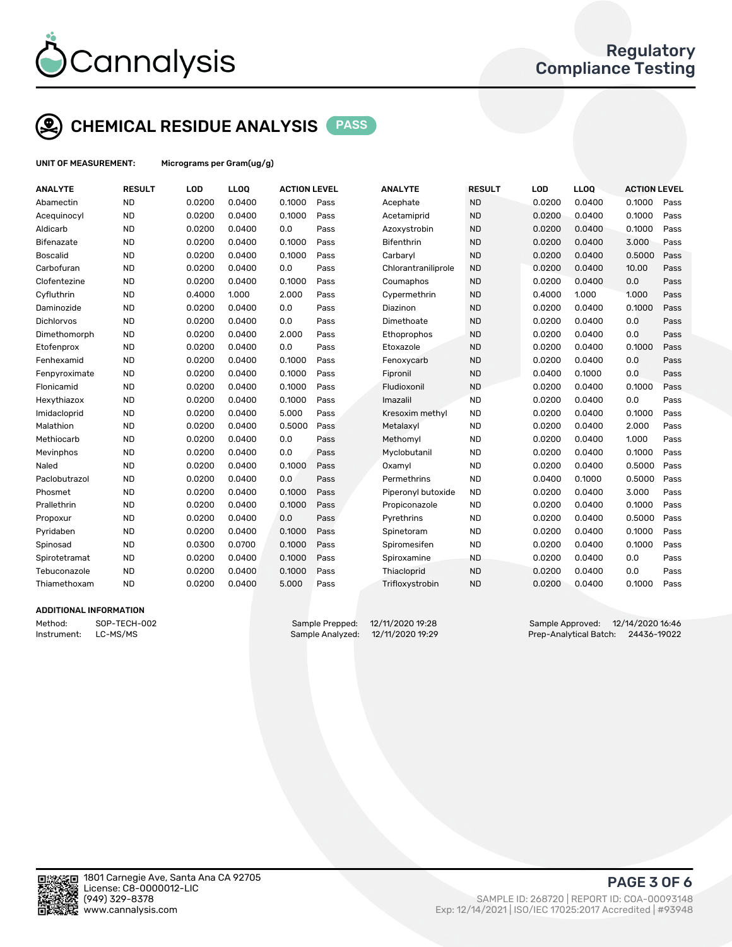

## CHEMICAL RESIDUE ANALYSIS PASS

UNIT OF MEASUREMENT: Micrograms per Gram(ug/g)

| <b>ANALYTE</b>    | <b>RESULT</b> | LOD    | LLOQ   | <b>ACTION LEVEL</b> |      | <b>ANALYTE</b>    |                     | <b>RESULT</b> | LOD    | <b>LLOQ</b> | <b>ACTION LEVEL</b> |      |
|-------------------|---------------|--------|--------|---------------------|------|-------------------|---------------------|---------------|--------|-------------|---------------------|------|
| Abamectin         | <b>ND</b>     | 0.0200 | 0.0400 | 0.1000              | Pass | Acephate          |                     | <b>ND</b>     | 0.0200 | 0.0400      | 0.1000              | Pass |
| Acequinocyl       | <b>ND</b>     | 0.0200 | 0.0400 | 0.1000              | Pass | Acetamiprid       |                     | <b>ND</b>     | 0.0200 | 0.0400      | 0.1000              | Pass |
| Aldicarb          | <b>ND</b>     | 0.0200 | 0.0400 | 0.0                 | Pass | Azoxystrobin      |                     | <b>ND</b>     | 0.0200 | 0.0400      | 0.1000              | Pass |
| Bifenazate        | <b>ND</b>     | 0.0200 | 0.0400 | 0.1000              | Pass | <b>Bifenthrin</b> |                     | <b>ND</b>     | 0.0200 | 0.0400      | 3.000               | Pass |
| <b>Boscalid</b>   | <b>ND</b>     | 0.0200 | 0.0400 | 0.1000              | Pass | Carbaryl          |                     | <b>ND</b>     | 0.0200 | 0.0400      | 0.5000              | Pass |
| Carbofuran        | <b>ND</b>     | 0.0200 | 0.0400 | 0.0                 | Pass |                   | Chlorantraniliprole | <b>ND</b>     | 0.0200 | 0.0400      | 10.00               | Pass |
| Clofentezine      | <b>ND</b>     | 0.0200 | 0.0400 | 0.1000              | Pass | Coumaphos         |                     | <b>ND</b>     | 0.0200 | 0.0400      | 0.0                 | Pass |
| Cyfluthrin        | <b>ND</b>     | 0.4000 | 1.000  | 2.000               | Pass | Cypermethrin      |                     | <b>ND</b>     | 0.4000 | 1.000       | 1.000               | Pass |
| Daminozide        | <b>ND</b>     | 0.0200 | 0.0400 | 0.0                 | Pass | Diazinon          |                     | <b>ND</b>     | 0.0200 | 0.0400      | 0.1000              | Pass |
| <b>Dichlorvos</b> | <b>ND</b>     | 0.0200 | 0.0400 | 0.0                 | Pass | Dimethoate        |                     | <b>ND</b>     | 0.0200 | 0.0400      | 0.0                 | Pass |
| Dimethomorph      | <b>ND</b>     | 0.0200 | 0.0400 | 2.000               | Pass | Ethoprophos       |                     | <b>ND</b>     | 0.0200 | 0.0400      | 0.0                 | Pass |
| Etofenprox        | <b>ND</b>     | 0.0200 | 0.0400 | 0.0                 | Pass | Etoxazole         |                     | <b>ND</b>     | 0.0200 | 0.0400      | 0.1000              | Pass |
| Fenhexamid        | <b>ND</b>     | 0.0200 | 0.0400 | 0.1000              | Pass | Fenoxycarb        |                     | <b>ND</b>     | 0.0200 | 0.0400      | 0.0                 | Pass |
| Fenpyroximate     | <b>ND</b>     | 0.0200 | 0.0400 | 0.1000              | Pass | Fipronil          |                     | <b>ND</b>     | 0.0400 | 0.1000      | 0.0                 | Pass |
| Flonicamid        | <b>ND</b>     | 0.0200 | 0.0400 | 0.1000              | Pass | Fludioxonil       |                     | <b>ND</b>     | 0.0200 | 0.0400      | 0.1000              | Pass |
| Hexythiazox       | <b>ND</b>     | 0.0200 | 0.0400 | 0.1000              | Pass | Imazalil          |                     | <b>ND</b>     | 0.0200 | 0.0400      | 0.0                 | Pass |
| Imidacloprid      | <b>ND</b>     | 0.0200 | 0.0400 | 5.000               | Pass |                   | Kresoxim methyl     | <b>ND</b>     | 0.0200 | 0.0400      | 0.1000              | Pass |
| Malathion         | <b>ND</b>     | 0.0200 | 0.0400 | 0.5000              | Pass | Metalaxyl         |                     | <b>ND</b>     | 0.0200 | 0.0400      | 2.000               | Pass |
| Methiocarb        | <b>ND</b>     | 0.0200 | 0.0400 | 0.0                 | Pass | Methomyl          |                     | <b>ND</b>     | 0.0200 | 0.0400      | 1.000               | Pass |
| Mevinphos         | <b>ND</b>     | 0.0200 | 0.0400 | 0.0                 | Pass | Myclobutanil      |                     | <b>ND</b>     | 0.0200 | 0.0400      | 0.1000              | Pass |
| Naled             | <b>ND</b>     | 0.0200 | 0.0400 | 0.1000              | Pass | Oxamyl            |                     | <b>ND</b>     | 0.0200 | 0.0400      | 0.5000              | Pass |
| Paclobutrazol     | <b>ND</b>     | 0.0200 | 0.0400 | 0.0                 | Pass | Permethrins       |                     | <b>ND</b>     | 0.0400 | 0.1000      | 0.5000              | Pass |
| Phosmet           | <b>ND</b>     | 0.0200 | 0.0400 | 0.1000              | Pass |                   | Piperonyl butoxide  | <b>ND</b>     | 0.0200 | 0.0400      | 3.000               | Pass |
| Prallethrin       | <b>ND</b>     | 0.0200 | 0.0400 | 0.1000              | Pass | Propiconazole     |                     | <b>ND</b>     | 0.0200 | 0.0400      | 0.1000              | Pass |
| Propoxur          | <b>ND</b>     | 0.0200 | 0.0400 | 0.0                 | Pass | Pyrethrins        |                     | <b>ND</b>     | 0.0200 | 0.0400      | 0.5000              | Pass |
| Pyridaben         | <b>ND</b>     | 0.0200 | 0.0400 | 0.1000              | Pass | Spinetoram        |                     | <b>ND</b>     | 0.0200 | 0.0400      | 0.1000              | Pass |
| Spinosad          | <b>ND</b>     | 0.0300 | 0.0700 | 0.1000              | Pass | Spiromesifen      |                     | <b>ND</b>     | 0.0200 | 0.0400      | 0.1000              | Pass |
| Spirotetramat     | <b>ND</b>     | 0.0200 | 0.0400 | 0.1000              | Pass | Spiroxamine       |                     | <b>ND</b>     | 0.0200 | 0.0400      | 0.0                 | Pass |
| Tebuconazole      | <b>ND</b>     | 0.0200 | 0.0400 | 0.1000              | Pass | Thiacloprid       |                     | <b>ND</b>     | 0.0200 | 0.0400      | 0.0                 | Pass |
| Thiamethoxam      | <b>ND</b>     | 0.0200 | 0.0400 | 5.000               | Pass | Trifloxystrobin   |                     | <b>ND</b>     | 0.0200 | 0.0400      | 0.1000              | Pass |
|                   |               |        |        |                     |      |                   |                     |               |        |             |                     |      |

#### ADDITIONAL INFORMATION

Method: SOP-TECH-002 Sample Prepped: 12/11/2020 19:28 Sample Approved: 12/14/2020 16:46 Instrument: LC-MS/MS Sample Analyzed: 12/11/2020 19:29 Prep-Analytical Batch: 24436-19022



PAGE 3 OF 6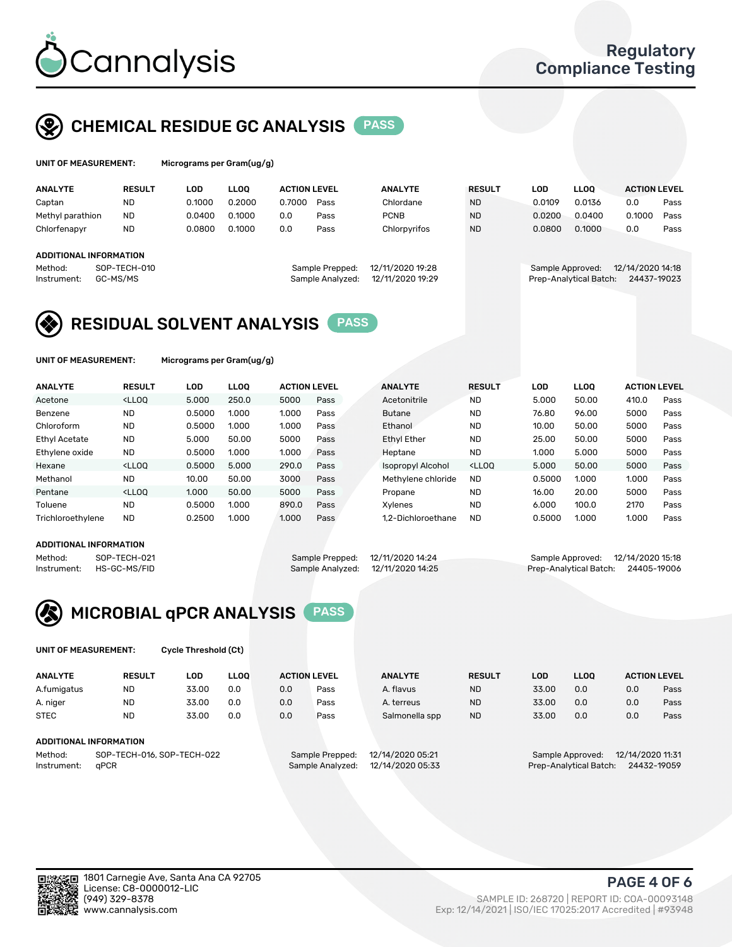

#### CHEMICAL RESIDUE GC ANALYSIS PASS

| UNIT OF MEASUREMENT: | Microgr |
|----------------------|---------|
|                      |         |

rams per Gram(ug/g)

| <b>ANALYTE</b>   | <b>RESULT</b>          | LOD    | <b>LLOO</b> | <b>ACTION LEVEL</b> |                  | <b>ANALYTE</b>   | <b>RESULT</b> | LOD    | <b>LLOO</b>            | <b>ACTION LEVEL</b> |      |
|------------------|------------------------|--------|-------------|---------------------|------------------|------------------|---------------|--------|------------------------|---------------------|------|
| Captan           | <b>ND</b>              | 0.1000 | 0.2000      | 0.7000              | Pass             | Chlordane        | <b>ND</b>     | 0.0109 | 0.0136                 | 0.0                 | Pass |
| Methyl parathion | <b>ND</b>              | 0.0400 | 0.1000      | 0.0                 | Pass             | <b>PCNB</b>      | <b>ND</b>     | 0.0200 | 0.0400                 | 0.1000              | Pass |
| Chlorfenapvr     | <b>ND</b>              | 0.0800 | 0.1000      | 0.0                 | Pass             | Chlorpyrifos     | <b>ND</b>     | 0.0800 | 0.1000                 | 0.0                 | Pass |
|                  | ADDITIONAL INFORMATION |        |             |                     |                  |                  |               |        |                        |                     |      |
| Method:          | SOP-TECH-010           |        |             |                     | Sample Prepped:  | 12/11/2020 19:28 |               |        | Sample Approved:       | 12/14/2020 14:18    |      |
| Instrument:      | GC-MS/MS               |        |             |                     | Sample Analyzed: | 12/11/2020 19:29 |               |        | Prep-Analytical Batch: | 24437-19023         |      |

## RESIDUAL SOLVENT ANALYSIS PASS

UNIT OF MEASUREMENT: Micrograms per Gram(ug/g)

| <b>ANALYTE</b>    | <b>RESULT</b>                                                                                                                                                                                      | LOD    | <b>LLOO</b> | <b>ACTION LEVEL</b> |      | <b>ANALYTE</b>           | <b>RESULT</b>                                                               | LOD    | <b>LLOO</b> | <b>ACTION LEVEL</b> |      |
|-------------------|----------------------------------------------------------------------------------------------------------------------------------------------------------------------------------------------------|--------|-------------|---------------------|------|--------------------------|-----------------------------------------------------------------------------|--------|-------------|---------------------|------|
| Acetone           | <lloo< td=""><td>5.000</td><td>250.0</td><td>5000</td><td>Pass</td><td>Acetonitrile</td><td><b>ND</b></td><td>5.000</td><td>50.00</td><td>410.0</td><td>Pass</td></lloo<>                          | 5.000  | 250.0       | 5000                | Pass | Acetonitrile             | <b>ND</b>                                                                   | 5.000  | 50.00       | 410.0               | Pass |
| Benzene           | <b>ND</b>                                                                                                                                                                                          | 0.5000 | 1.000       | 1.000               | Pass | <b>Butane</b>            | <b>ND</b>                                                                   | 76.80  | 96.00       | 5000                | Pass |
| Chloroform        | <b>ND</b>                                                                                                                                                                                          | 0.5000 | 1.000       | 1.000               | Pass | Ethanol                  | <b>ND</b>                                                                   | 10.00  | 50.00       | 5000                | Pass |
| Ethyl Acetate     | <b>ND</b>                                                                                                                                                                                          | 5.000  | 50.00       | 5000                | Pass | <b>Ethyl Ether</b>       | <b>ND</b>                                                                   | 25.00  | 50.00       | 5000                | Pass |
| Ethylene oxide    | <b>ND</b>                                                                                                                                                                                          | 0.5000 | 1.000       | 1.000               | Pass | Heptane                  | <b>ND</b>                                                                   | 1.000  | 5.000       | 5000                | Pass |
| Hexane            | <lloo< td=""><td>0.5000</td><td>5.000</td><td>290.0</td><td>Pass</td><td><b>Isopropyl Alcohol</b></td><td><lloo< td=""><td>5.000</td><td>50.00</td><td>5000</td><td>Pass</td></lloo<></td></lloo<> | 0.5000 | 5.000       | 290.0               | Pass | <b>Isopropyl Alcohol</b> | <lloo< td=""><td>5.000</td><td>50.00</td><td>5000</td><td>Pass</td></lloo<> | 5.000  | 50.00       | 5000                | Pass |
| Methanol          | <b>ND</b>                                                                                                                                                                                          | 10.00  | 50.00       | 3000                | Pass | Methylene chloride       | <b>ND</b>                                                                   | 0.5000 | 1.000       | 1.000               | Pass |
| Pentane           | <lloo< td=""><td>1.000</td><td>50.00</td><td>5000</td><td>Pass</td><td>Propane</td><td><b>ND</b></td><td>16.00</td><td>20.00</td><td>5000</td><td>Pass</td></lloo<>                                | 1.000  | 50.00       | 5000                | Pass | Propane                  | <b>ND</b>                                                                   | 16.00  | 20.00       | 5000                | Pass |
| Toluene           | <b>ND</b>                                                                                                                                                                                          | 0.5000 | 1.000       | 890.0               | Pass | Xvlenes                  | <b>ND</b>                                                                   | 6.000  | 100.0       | 2170                | Pass |
| Trichloroethylene | <b>ND</b>                                                                                                                                                                                          | 0.2500 | 1.000       | 1.000               | Pass | 1.2-Dichloroethane       | <b>ND</b>                                                                   | 0.5000 | 1.000       | 1.000               | Pass |
|                   |                                                                                                                                                                                                    |        |             |                     |      |                          |                                                                             |        |             |                     |      |

#### ADDITIONAL INFORMATION

|             | ADDITIONAL INFORMATION |                                   |                                    |  |
|-------------|------------------------|-----------------------------------|------------------------------------|--|
| Method:     | SOP-TECH-021           | Sample Prepped: 12/11/2020 14:24  | Sample Approved: 12/14/2020 15:18  |  |
| Instrument: | HS-GC-MS/FID           | Sample Analyzed: 12/11/2020 14:25 | Prep-Analytical Batch: 24405-19006 |  |

## MICROBIAL qPCR ANALYSIS PASS

UNIT OF MEASUREMENT: Cycle Threshold (Ct)

| <b>ANALYTE</b>                        | <b>RESULT</b>          | LOD   | <b>LLOO</b>      |                  | <b>ACTION LEVEL</b> | <b>ANALYTE</b>                        | <b>RESULT</b>                        | LOD   | <b>LLOO</b> |     | <b>ACTION LEVEL</b> |  |
|---------------------------------------|------------------------|-------|------------------|------------------|---------------------|---------------------------------------|--------------------------------------|-------|-------------|-----|---------------------|--|
| A.fumigatus                           | <b>ND</b>              | 33.00 | 0.0              | 0.0              | Pass                | A. flavus                             | <b>ND</b>                            | 33.00 | 0.0         | 0.0 | Pass                |  |
| A. niger                              | <b>ND</b>              | 33.00 | 0.0              | 0.0              | Pass                | A. terreus                            | <b>ND</b>                            | 33.00 | 0.0         | 0.0 | Pass                |  |
| <b>STEC</b>                           | <b>ND</b>              | 33.00 | 0.0              | 0.0              | Pass                | Salmonella spp                        | <b>ND</b>                            | 33.00 | 0.0         | 0.0 | Pass                |  |
|                                       | ADDITIONAL INFORMATION |       |                  |                  |                     |                                       |                                      |       |             |     |                     |  |
| SOP-TECH-016, SOP-TECH-022<br>Method: |                        |       |                  | Sample Prepped:  | 12/14/2020 05:21    |                                       | 12/14/2020 11:31<br>Sample Approved: |       |             |     |                     |  |
| <b>aPCR</b><br>Instrument:            |                        |       | Sample Analyzed: | 12/14/2020 05:33 |                     | Prep-Analytical Batch:<br>24432-19059 |                                      |       |             |     |                     |  |



PAGE 4 OF 6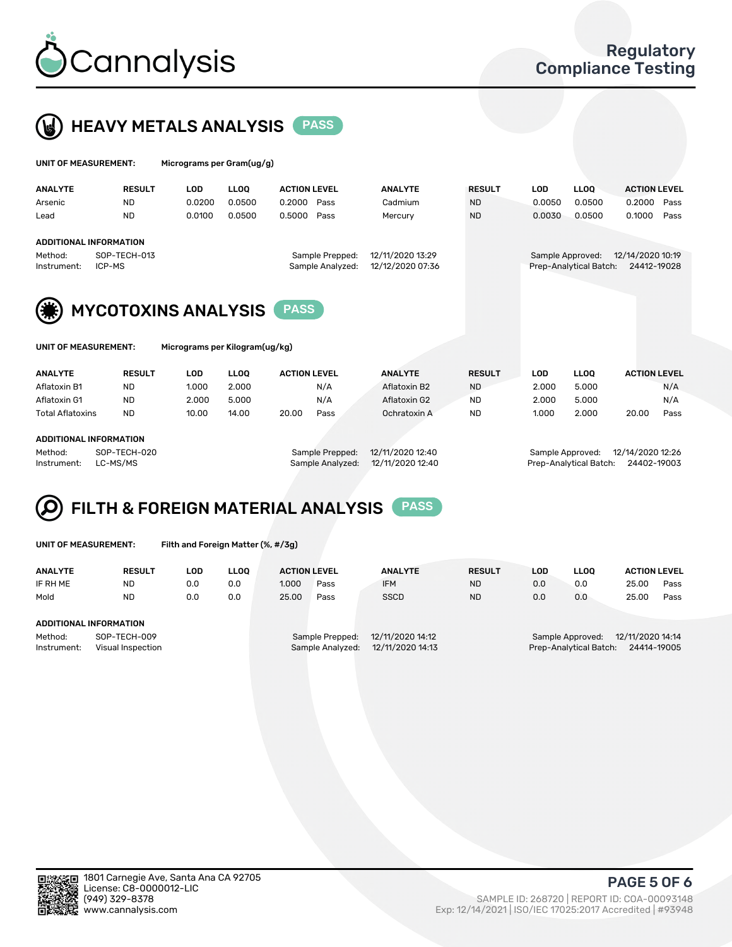



| UNIT OF MEASUREMENT: |               |        | Micrograms per Gram $(uq/q)$ |                     |      |                |               |        |             |                     |      |  |  |
|----------------------|---------------|--------|------------------------------|---------------------|------|----------------|---------------|--------|-------------|---------------------|------|--|--|
| ANALYTE              | <b>RESULT</b> | LOD    | <b>LLOO</b>                  | <b>ACTION LEVEL</b> |      | <b>ANALYTE</b> | <b>RESULT</b> | LOD    | <b>LLOO</b> | <b>ACTION LEVEL</b> |      |  |  |
| Arsenic              | <b>ND</b>     | 0.0200 | 0.0500                       | 0.2000              | Pass | Cadmium        | <b>ND</b>     | 0.0050 | 0.0500      | 0.2000              | Pass |  |  |
| Lead                 | <b>ND</b>     | 0.0100 | 0.0500                       | 0.5000              | Pass | Mercury        | <b>ND</b>     | 0.0030 | 0.0500      | 0.1000              | Pass |  |  |

|                    | ADDITIONAL INFORMATION |                                   |                                    |
|--------------------|------------------------|-----------------------------------|------------------------------------|
| Method:            | SOP-TECH-013           | Sample Prepped: 12/11/2020 13:29  | Sample Approved: 12/14/2020 10:19  |
| Instrument: ICP-MS |                        | Sample Analyzed: 12/12/2020 07:36 | Prep-Analytical Batch: 24412-19028 |



| UNIT OF MEASUREMENT:   |               | Micrograms per Kilogram(ug/kg) |             |                     |      |                |               |       |             |                     |      |
|------------------------|---------------|--------------------------------|-------------|---------------------|------|----------------|---------------|-------|-------------|---------------------|------|
| <b>ANALYTE</b>         | <b>RESULT</b> | LOD                            | <b>LLOO</b> | <b>ACTION LEVEL</b> |      | <b>ANALYTE</b> | <b>RESULT</b> | LOD   | <b>LLOO</b> | <b>ACTION LEVEL</b> |      |
| Aflatoxin B1           | <b>ND</b>     | 1.000                          | 2.000       |                     | N/A  | Aflatoxin B2   | <b>ND</b>     | 2.000 | 5.000       |                     | N/A  |
| Aflatoxin G1           | <b>ND</b>     | 2.000                          | 5.000       |                     | N/A  | Aflatoxin G2   | <b>ND</b>     | 2.000 | 5.000       |                     | N/A  |
| Total Aflatoxins       | <b>ND</b>     | 10.00                          | 14.00       | 20.00               | Pass | Ochratoxin A   | <b>ND</b>     | 1.000 | 2.000       | 20.00               | Pass |
| ADDITIONAL INFORMATION |               |                                |             |                     |      |                |               |       |             |                     |      |

#### ADDITIONAL INFORMATION

Method: SOP-TECH-020 Sample Prepped: 12/11/2020 12:40 Sample Approved: 12/14/2020 12:26 Instrument: LC-MS/MS Sample Analyzed: 12/11/2020 12:40 Prep-Analytical Batch: 24402-19003

## FILTH & FOREIGN MATERIAL ANALYSIS PASS

UNIT OF MEASUREMENT: Filth and Foreign Matter (%, #/3g)

| <b>ANALYTE</b>                                              | <b>RESULT</b>                 | LOD | <b>LLOO</b> | <b>ACTION LEVEL</b> |                                     | <b>ANALYTE</b><br><b>RESULT</b>      |           | LOD | <b>LLOO</b>                                | <b>ACTION LEVEL</b>             |      |
|-------------------------------------------------------------|-------------------------------|-----|-------------|---------------------|-------------------------------------|--------------------------------------|-----------|-----|--------------------------------------------|---------------------------------|------|
| IF RH ME                                                    | <b>ND</b>                     | 0.0 | 0.0         | 1.000               | Pass                                | <b>IFM</b>                           | <b>ND</b> | 0.0 | 0.0                                        | 25.00                           | Pass |
| Mold                                                        | <b>ND</b>                     | 0.0 | 0.0         | 25.00               | Pass                                | <b>SSCD</b>                          | <b>ND</b> | 0.0 | 0.0                                        | 25.00                           | Pass |
|                                                             | <b>ADDITIONAL INFORMATION</b> |     |             |                     |                                     |                                      |           |     |                                            |                                 |      |
| Method:<br>SOP-TECH-009<br>Instrument:<br>Visual Inspection |                               |     |             |                     | Sample Prepped:<br>Sample Analyzed: | 12/11/2020 14:12<br>12/11/2020 14:13 |           |     | Sample Approved:<br>Prep-Analytical Batch: | 12/11/2020 14:14<br>24414-19005 |      |



PAGE 5 OF 6